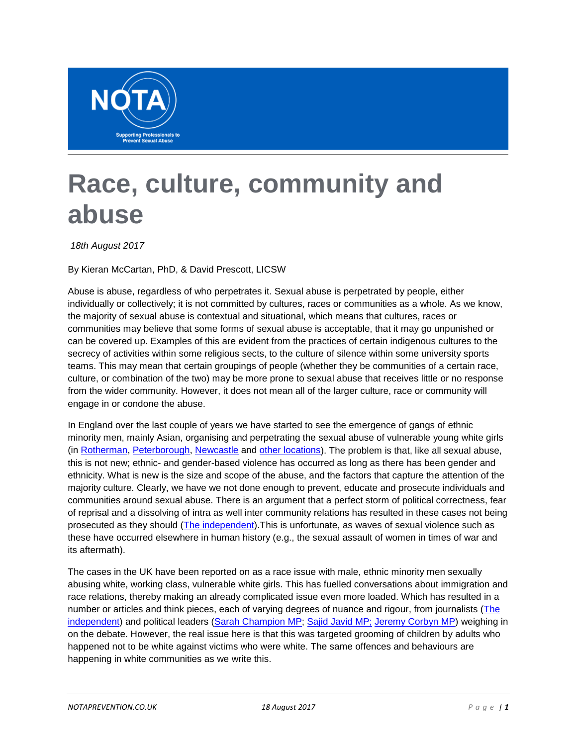

## **Race, culture, community and abuse**

*18th August 2017*

By Kieran McCartan, PhD, & David Prescott, LICSW

Abuse is abuse, regardless of who perpetrates it. Sexual abuse is perpetrated by people, either individually or collectively; it is not committed by cultures, races or communities as a whole. As we know, the majority of sexual abuse is contextual and situational, which means that cultures, races or communities may believe that some forms of sexual abuse is acceptable, that it may go unpunished or can be covered up. Examples of this are evident from the practices of certain indigenous cultures to the secrecy of activities within some religious sects, to the culture of silence within some university sports teams. This may mean that certain groupings of people (whether they be communities of a certain race, culture, or combination of the two) may be more prone to sexual abuse that receives little or no response from the wider community. However, it does not mean all of the larger culture, race or community will engage in or condone the abuse.

In England over the last couple of years we have started to see the emergence of gangs of ethnic minority men, mainly Asian, organising and perpetrating the sexual abuse of vulnerable young white girls (in [Rotherman,](http://www.bbc.co.uk/news/uk-england-south-yorkshire-28934963) [Peterborough,](http://www.bbc.co.uk/news/uk-england-cambridgeshire-25659042) [Newcastle](https://www.theguardian.com/uk-news/2017/aug/09/newcastle-sex-grooming-network-operation-shelter) and [other locations\)](http://www.express.co.uk/news/uk/839509/Britain-towns-cities-asian-grooming-gangs-Newcastle-Rochdale-Rotherham). The problem is that, like all sexual abuse, this is not new; ethnic- and gender-based violence has occurred as long as there has been gender and ethnicity. What is new is the size and scope of the abuse, and the factors that capture the attention of the majority culture. Clearly, we have we not done enough to prevent, educate and prosecute individuals and communities around sexual abuse. There is an argument that a perfect storm of political correctness, fear of reprisal and a dissolving of intra as well inter community relations has resulted in these cases not being prosecuted as they should (The [independent\)](http://www.independent.co.uk/voices/newcastle-sex-abuse-scandal-grooming-racism-young-girls-rape-liberal-offence-a7886821.html).This is unfortunate, as waves of sexual violence such as these have occurred elsewhere in human history (e.g., the sexual assault of women in times of war and its aftermath).

The cases in the UK have been reported on as a race issue with male, ethnic minority men sexually abusing white, working class, vulnerable white girls. This has fuelled conversations about immigration and race relations, thereby making an already complicated issue even more loaded. Which has resulted in a number or articles and think pieces, each of varying degrees of nuance and rigour, from journalists [\(The](http://www.independent.co.uk/voices/newcastle-sex-abuse-scandal-grooming-racism-young-girls-rape-liberal-offence-a7886821.html)  [independent\)](http://www.independent.co.uk/voices/newcastle-sex-abuse-scandal-grooming-racism-young-girls-rape-liberal-offence-a7886821.html) and political leaders [\(Sarah Champion MP;](https://www.theguardian.com/politics/2017/aug/16/sarah-champion-complaint-sun-article-british-pakistani-men) [Sajid Javid MP;](http://www.express.co.uk/news/politics/842631/cabinet-minister-Sajid-Javid-Jeremy-Corbyn-Asian-child-sex-gangs-sarah-champion) [Jeremy Corbyn MP\)](http://www.bbc.co.uk/news/uk-politics-40959387) weighing in on the debate. However, the real issue here is that this was targeted grooming of children by adults who happened not to be white against victims who were white. The same offences and behaviours are happening in white communities as we write this.